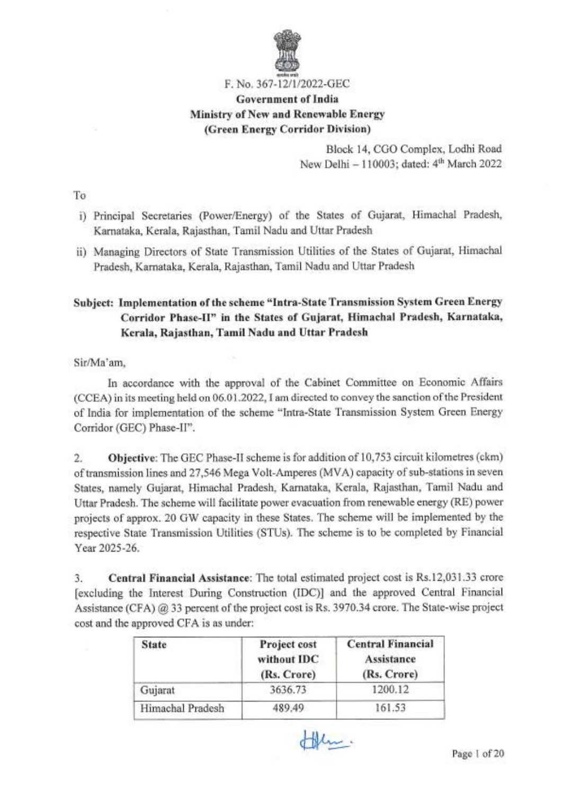

F. No. 367-12/1/2022-GEC

## **Government of India** Ministry of New and Renewable Energy (Green Energy Corridor Division)

Block 14, CGO Complex, Lodhi Road New Delhi - 110003; dated: 4<sup>th</sup> March 2022

To

- i) Principal Secretaries (Power/Energy) of the States of Gujarat, Himachal Pradesh, Karnataka, Kerala, Rajasthan, Tamil Nadu and Uttar Pradesh
- ii) Managing Directors of State Transmission Utilities of the States of Gujarat, Himachal Pradesh, Karnataka, Kerala, Rajasthan, Tamil Nadu and Uttar Pradesh

## Subject: Implementation of the scheme "Intra-State Transmission System Green Energy Corridor Phase-II" in the States of Gujarat, Himachal Pradesh, Karnataka, Kerala, Rajasthan, Tamil Nadu and Uttar Pradesh

Sir/Ma'am.

In accordance with the approval of the Cabinet Committee on Economic Affairs (CCEA) in its meeting held on 06.01.2022. I am directed to convey the sanction of the President of India for implementation of the scheme "Intra-State Transmission System Green Energy Corridor (GEC) Phase-II".

Objective: The GEC Phase-II scheme is for addition of 10,753 circuit kilometres (ckm)  $\mathfrak{D}$ of transmission lines and 27,546 Mega Volt-Amperes (MVA) capacity of sub-stations in seven States, namely Gujarat, Himachal Pradesh, Karnataka, Kerala, Rajasthan, Tamil Nadu and Uttar Pradesh. The scheme will facilitate power evacuation from renewable energy (RE) power projects of approx. 20 GW capacity in these States. The scheme will be implemented by the respective State Transmission Utilities (STUs). The scheme is to be completed by Financial Year 2025-26.

Central Financial Assistance: The total estimated project cost is Rs.12,031.33 crore 3. [excluding the Interest During Construction (IDC)] and the approved Central Financial Assistance (CFA) @ 33 percent of the project cost is Rs. 3970.34 crore. The State-wise project cost and the approved CFA is as under:

| Project cost<br>without IDC<br>(Rs. Crore) | <b>Central Financial</b><br>Assistance<br>(Rs. Crore) |
|--------------------------------------------|-------------------------------------------------------|
| 3636.73                                    | 1200.12                                               |
| 489.49                                     | 161.53                                                |
|                                            |                                                       |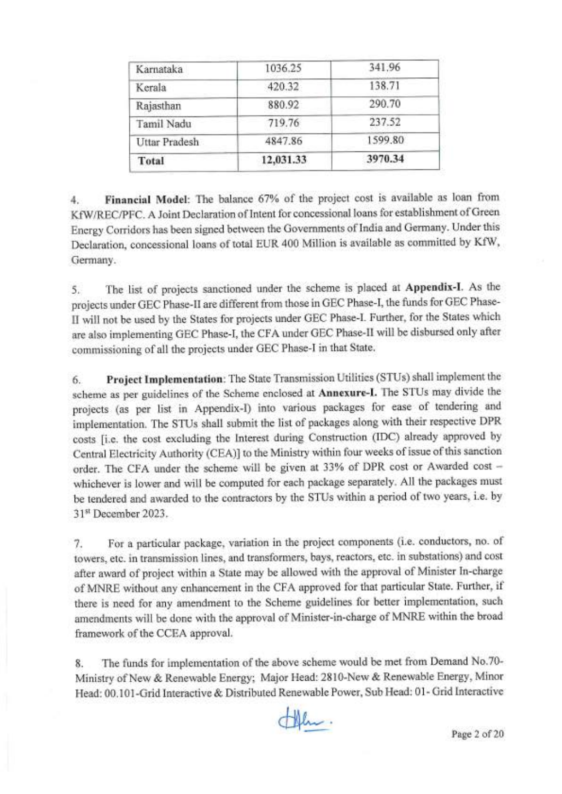| Uttar Pradesh | 4847.86 | 1599.80<br>3970.34 |
|---------------|---------|--------------------|
| Tamil Nadu    | 719.76  | 237.52             |
| Rajasthan     | 880.92  | 290.70             |
| Kerala        | 420.32  | 138.71             |
| Karnataka     | 1036.25 | 341.96             |

Financial Model: The balance 67% of the project cost is available as loan from 4. KfW/REC/PFC. A Joint Declaration of Intent for concessional loans for establishment of Green Energy Corridors has been signed between the Governments of India and Germany. Under this Declaration, concessional loans of total EUR 400 Million is available as committed by KfW, Germany.

The list of projects sanctioned under the scheme is placed at Appendix-I. As the 5. projects under GEC Phase-II are different from those in GEC Phase-I, the funds for GEC Phase-II will not be used by the States for projects under GEC Phase-I. Further, for the States which are also implementing GEC Phase-I, the CFA under GEC Phase-II will be disbursed only after commissioning of all the projects under GEC Phase-I in that State.

Project Implementation: The State Transmission Utilities (STUs) shall implement the 6. scheme as per guidelines of the Scheme enclosed at Annexure-I. The STUs may divide the projects (as per list in Appendix-I) into various packages for ease of tendering and implementation. The STUs shall submit the list of packages along with their respective DPR costs [i.e. the cost excluding the Interest during Construction (IDC) already approved by Central Electricity Authority (CEA)] to the Ministry within four weeks of issue of this sanction order. The CFA under the scheme will be given at 33% of DPR cost or Awarded cost whichever is lower and will be computed for each package separately. All the packages must be tendered and awarded to the contractors by the STUs within a period of two years, i.e. by 31<sup>st</sup> December 2023.

For a particular package, variation in the project components (i.e. conductors, no. of 7. towers, etc. in transmission lines, and transformers, bays, reactors, etc. in substations) and cost after award of project within a State may be allowed with the approval of Minister In-charge of MNRE without any enhancement in the CFA approved for that particular State. Further, if there is need for any amendment to the Scheme guidelines for better implementation, such amendments will be done with the approval of Minister-in-charge of MNRE within the broad framework of the CCEA approval.

The funds for implementation of the above scheme would be met from Demand No.70-8. Ministry of New & Renewable Energy; Major Head: 2810-New & Renewable Energy, Minor Head: 00.101-Grid Interactive & Distributed Renewable Power, Sub Head: 01- Grid Interactive

them.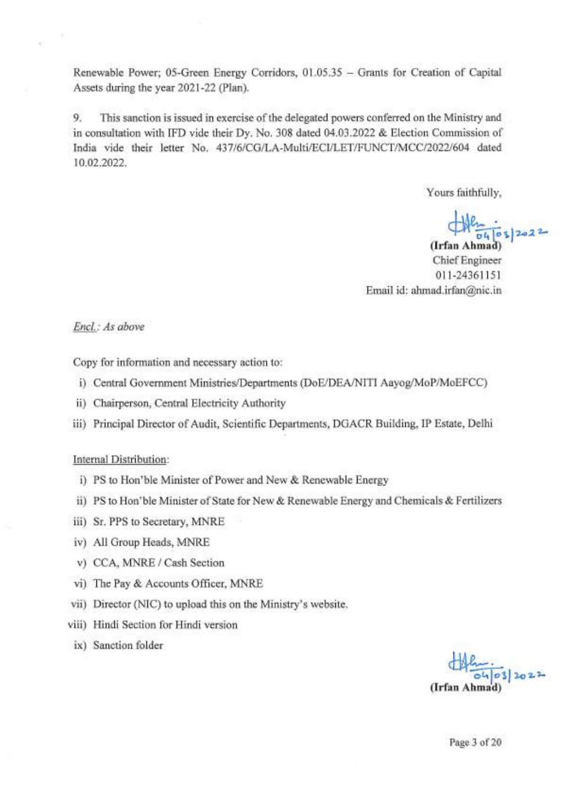Renewable Power; 05-Green Energy Corridors, 01.05.35 - Grants for Creation of Capital Assets during the year 2021-22 (Plan).

9. This sanction is issued in exercise of the delegated powers conferred on the Ministry and in consultation with IFD vide their Dy. No. 308 dated 04.03.2022 & Election Commission of India vide their letter No. 437/6/CG/LA-Multi/ECI/LET/FUNCT/MCC/2022/604 dated 10.02.2022.

Yours faithfully,

 $54032022$ (Irfan Ahmad)

Chief Engineer 011-24361151 Email id: ahmad.irfan@nic.in

Encl.: As above

Copy for information and necessary action to:

- i) Central Government Ministries/Departments (DoE/DEA/NITI Aayog/MoP/MoEFCC)
- ii) Chairperson, Central Electricity Authority
- iii) Principal Director of Audit, Scientific Departments, DGACR Building, IP Estate, Delhi

Internal Distribution:

- i) PS to Hon'ble Minister of Power and New & Renewable Energy
- ii) PS to Hon'ble Minister of State for New & Renewable Energy and Chemicals & Fertilizers
- iii) Sr. PPS to Secretary, MNRE
- iv) All Group Heads, MNRE
- v) CCA, MNRE / Cash Section
- vi) The Pay & Accounts Officer, MNRE
- vii) Director (NIC) to upload this on the Ministry's website.
- viii) Hindi Section for Hindi version
- ix) Sanction folder

 $032022$ (Irfan Ahmad

Page 3 of 20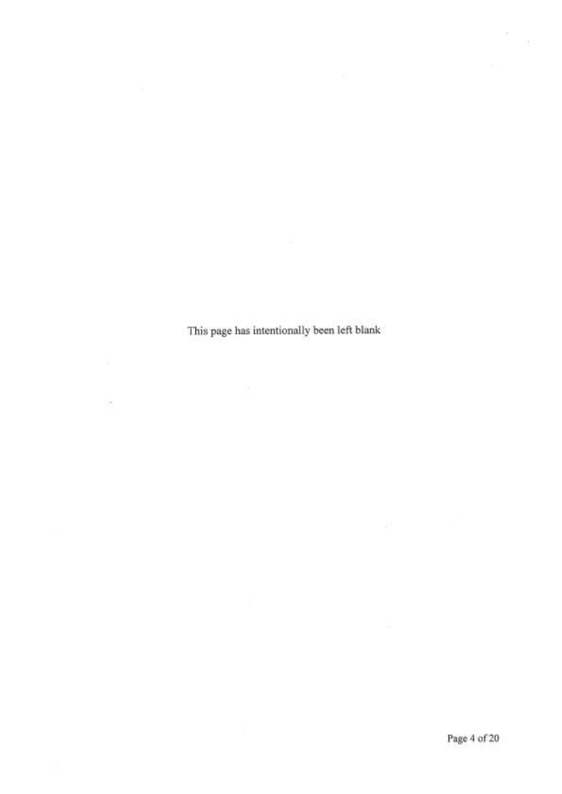This page has intentionally been left blank

t er

 $\pm$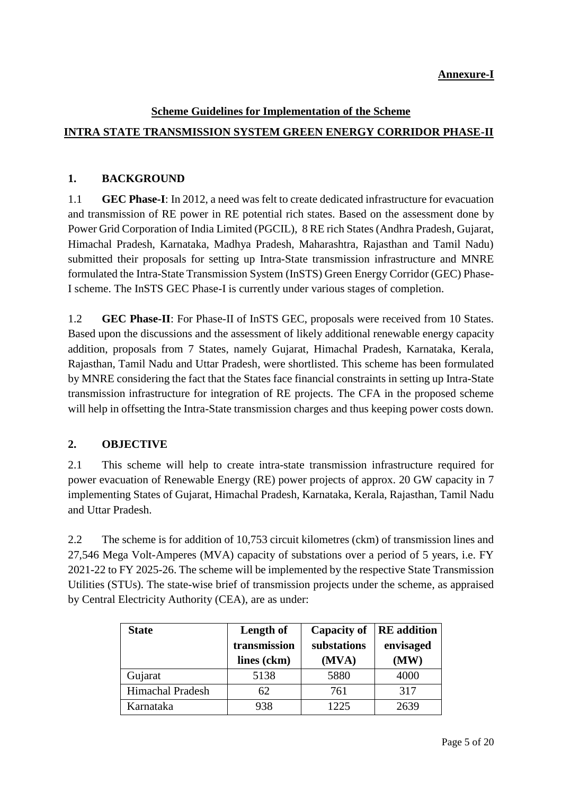#### **Annexure-I**

# **Scheme Guidelines for Implementation of the Scheme INTRA STATE TRANSMISSION SYSTEM GREEN ENERGY CORRIDOR PHASE-II**

#### **1. BACKGROUND**

1.1 **GEC Phase-I**: In 2012, a need was felt to create dedicated infrastructure for evacuation and transmission of RE power in RE potential rich states. Based on the assessment done by Power Grid Corporation of India Limited (PGCIL), 8 RE rich States (Andhra Pradesh, Gujarat, Himachal Pradesh, Karnataka, Madhya Pradesh, Maharashtra, Rajasthan and Tamil Nadu) submitted their proposals for setting up Intra-State transmission infrastructure and MNRE formulated the Intra-State Transmission System (InSTS) Green Energy Corridor (GEC) Phase-I scheme. The InSTS GEC Phase-I is currently under various stages of completion.

1.2 **GEC Phase-II**: For Phase-II of InSTS GEC, proposals were received from 10 States. Based upon the discussions and the assessment of likely additional renewable energy capacity addition, proposals from 7 States, namely Gujarat, Himachal Pradesh, Karnataka, Kerala, Rajasthan, Tamil Nadu and Uttar Pradesh, were shortlisted. This scheme has been formulated by MNRE considering the fact that the States face financial constraints in setting up Intra-State transmission infrastructure for integration of RE projects. The CFA in the proposed scheme will help in offsetting the Intra-State transmission charges and thus keeping power costs down.

#### **2. OBJECTIVE**

2.1 This scheme will help to create intra-state transmission infrastructure required for power evacuation of Renewable Energy (RE) power projects of approx. 20 GW capacity in 7 implementing States of Gujarat, Himachal Pradesh, Karnataka, Kerala, Rajasthan, Tamil Nadu and Uttar Pradesh.

2.2 The scheme is for addition of 10,753 circuit kilometres (ckm) of transmission lines and 27,546 Mega Volt-Amperes (MVA) capacity of substations over a period of 5 years, i.e. FY 2021-22 to FY 2025-26. The scheme will be implemented by the respective State Transmission Utilities (STUs). The state-wise brief of transmission projects under the scheme, as appraised by Central Electricity Authority (CEA), are as under:

| <b>State</b>            | Length of<br>transmission<br>lines (ckm) | <b>Capacity of</b><br>substations<br>(MVA) | <b>RE</b> addition<br>envisaged<br>(MW) |
|-------------------------|------------------------------------------|--------------------------------------------|-----------------------------------------|
| Gujarat                 | 5138                                     | 5880                                       | 4000                                    |
| <b>Himachal Pradesh</b> | 62                                       | 761                                        | 317                                     |
| Karnataka               | 938                                      | 1225                                       | 2639                                    |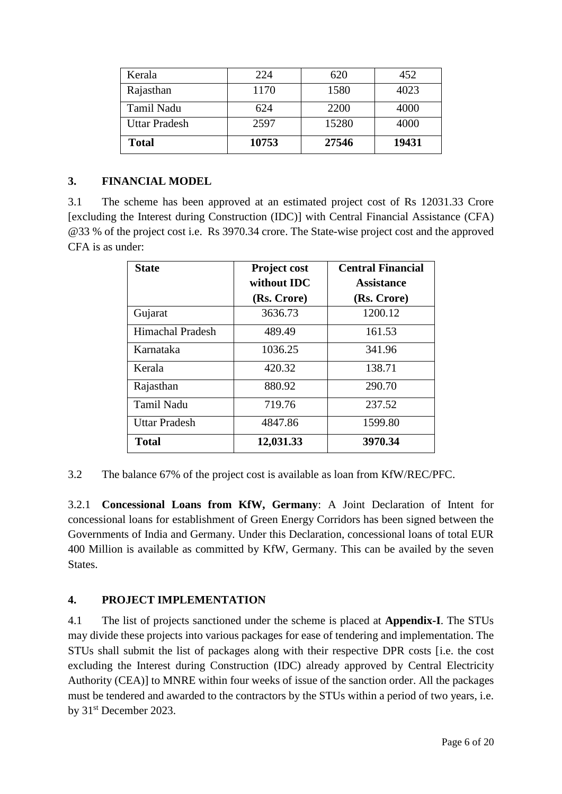| Kerala               | 224   | 620   | 452   |
|----------------------|-------|-------|-------|
| Rajasthan            | 1170  | 1580  | 4023  |
| Tamil Nadu           | 624   | 2200  | 4000  |
| <b>Uttar Pradesh</b> | 2597  | 15280 | 4000  |
| <b>Total</b>         | 10753 | 27546 | 19431 |

#### **3. FINANCIAL MODEL**

3.1 The scheme has been approved at an estimated project cost of Rs 12031.33 Crore [excluding the Interest during Construction (IDC)] with Central Financial Assistance (CFA) @33 % of the project cost i.e. Rs 3970.34 crore. The State-wise project cost and the approved CFA is as under:

| <b>State</b>            | <b>Project cost</b><br>without IDC<br>(Rs. Crore) | <b>Central Financial</b><br><b>Assistance</b><br>(Rs. Crore) |
|-------------------------|---------------------------------------------------|--------------------------------------------------------------|
| Gujarat                 | 3636.73                                           | 1200.12                                                      |
| <b>Himachal Pradesh</b> | 489.49                                            | 161.53                                                       |
| Karnataka               | 1036.25                                           | 341.96                                                       |
| Kerala                  | 420.32                                            | 138.71                                                       |
| Rajasthan               | 880.92                                            | 290.70                                                       |
| <b>Tamil Nadu</b>       | 719.76                                            | 237.52                                                       |
| <b>Uttar Pradesh</b>    | 4847.86                                           | 1599.80                                                      |
| <b>Total</b>            | 12,031.33                                         | 3970.34                                                      |

3.2 The balance 67% of the project cost is available as loan from KfW/REC/PFC.

3.2.1 **Concessional Loans from KfW, Germany**: A Joint Declaration of Intent for concessional loans for establishment of Green Energy Corridors has been signed between the Governments of India and Germany. Under this Declaration, concessional loans of total EUR 400 Million is available as committed by KfW, Germany. This can be availed by the seven States.

#### **4. PROJECT IMPLEMENTATION**

4.1 The list of projects sanctioned under the scheme is placed at **Appendix-I**. The STUs may divide these projects into various packages for ease of tendering and implementation. The STUs shall submit the list of packages along with their respective DPR costs [i.e. the cost excluding the Interest during Construction (IDC) already approved by Central Electricity Authority (CEA)] to MNRE within four weeks of issue of the sanction order. All the packages must be tendered and awarded to the contractors by the STUs within a period of two years, i.e. by 31<sup>st</sup> December 2023.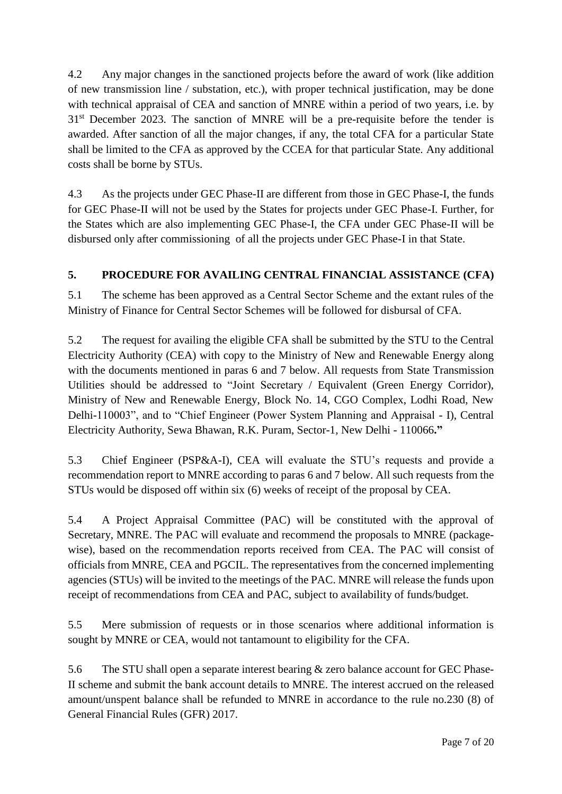4.2 Any major changes in the sanctioned projects before the award of work (like addition of new transmission line / substation, etc.), with proper technical justification, may be done with technical appraisal of CEA and sanction of MNRE within a period of two years, i.e. by  $31<sup>st</sup>$  December 2023. The sanction of MNRE will be a pre-requisite before the tender is awarded. After sanction of all the major changes, if any, the total CFA for a particular State shall be limited to the CFA as approved by the CCEA for that particular State. Any additional costs shall be borne by STUs.

4.3 As the projects under GEC Phase-II are different from those in GEC Phase-I, the funds for GEC Phase-II will not be used by the States for projects under GEC Phase-I. Further, for the States which are also implementing GEC Phase-I, the CFA under GEC Phase-II will be disbursed only after commissioning of all the projects under GEC Phase-I in that State.

## **5. PROCEDURE FOR AVAILING CENTRAL FINANCIAL ASSISTANCE (CFA)**

5.1 The scheme has been approved as a Central Sector Scheme and the extant rules of the Ministry of Finance for Central Sector Schemes will be followed for disbursal of CFA.

5.2 The request for availing the eligible CFA shall be submitted by the STU to the Central Electricity Authority (CEA) with copy to the Ministry of New and Renewable Energy along with the documents mentioned in paras 6 and 7 below. All requests from State Transmission Utilities should be addressed to "Joint Secretary / Equivalent (Green Energy Corridor), Ministry of New and Renewable Energy, Block No. 14, CGO Complex, Lodhi Road, New Delhi-110003", and to "Chief Engineer (Power System Planning and Appraisal - I), Central Electricity Authority, Sewa Bhawan, R.K. Puram, Sector-1, New Delhi - 110066**."**

5.3 Chief Engineer (PSP&A-I), CEA will evaluate the STU's requests and provide a recommendation report to MNRE according to paras 6 and 7 below. All such requests from the STUs would be disposed off within six (6) weeks of receipt of the proposal by CEA.

5.4 A Project Appraisal Committee (PAC) will be constituted with the approval of Secretary, MNRE. The PAC will evaluate and recommend the proposals to MNRE (packagewise), based on the recommendation reports received from CEA. The PAC will consist of officials from MNRE, CEA and PGCIL. The representatives from the concerned implementing agencies (STUs) will be invited to the meetings of the PAC. MNRE will release the funds upon receipt of recommendations from CEA and PAC, subject to availability of funds/budget.

5.5 Mere submission of requests or in those scenarios where additional information is sought by MNRE or CEA, would not tantamount to eligibility for the CFA.

5.6 The STU shall open a separate interest bearing & zero balance account for GEC Phase-II scheme and submit the bank account details to MNRE. The interest accrued on the released amount/unspent balance shall be refunded to MNRE in accordance to the rule no.230 (8) of General Financial Rules (GFR) 2017.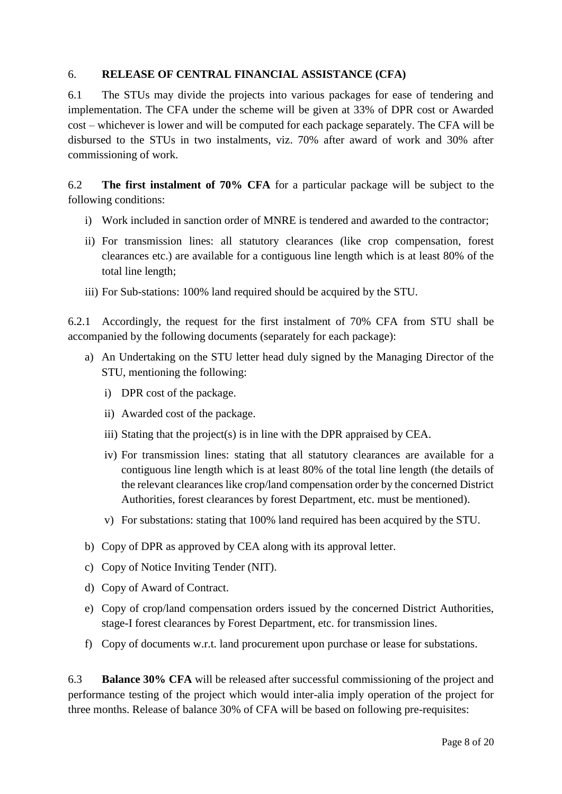#### 6. **RELEASE OF CENTRAL FINANCIAL ASSISTANCE (CFA)**

6.1 The STUs may divide the projects into various packages for ease of tendering and implementation. The CFA under the scheme will be given at 33% of DPR cost or Awarded cost – whichever is lower and will be computed for each package separately. The CFA will be disbursed to the STUs in two instalments, viz. 70% after award of work and 30% after commissioning of work.

6.2 **The first instalment of 70% CFA** for a particular package will be subject to the following conditions:

- i) Work included in sanction order of MNRE is tendered and awarded to the contractor;
- ii) For transmission lines: all statutory clearances (like crop compensation, forest clearances etc.) are available for a contiguous line length which is at least 80% of the total line length;
- iii) For Sub-stations: 100% land required should be acquired by the STU.

6.2.1 Accordingly, the request for the first instalment of 70% CFA from STU shall be accompanied by the following documents (separately for each package):

- a) An Undertaking on the STU letter head duly signed by the Managing Director of the STU, mentioning the following:
	- i) DPR cost of the package.
	- ii) Awarded cost of the package.
	- iii) Stating that the project(s) is in line with the DPR appraised by CEA.
	- iv) For transmission lines: stating that all statutory clearances are available for a contiguous line length which is at least 80% of the total line length (the details of the relevant clearances like crop/land compensation order by the concerned District Authorities, forest clearances by forest Department, etc. must be mentioned).
	- v) For substations: stating that 100% land required has been acquired by the STU.
- b) Copy of DPR as approved by CEA along with its approval letter.
- c) Copy of Notice Inviting Tender (NIT).
- d) Copy of Award of Contract.
- e) Copy of crop/land compensation orders issued by the concerned District Authorities, stage-I forest clearances by Forest Department, etc. for transmission lines.
- f) Copy of documents w.r.t. land procurement upon purchase or lease for substations.

6.3 **Balance 30% CFA** will be released after successful commissioning of the project and performance testing of the project which would inter-alia imply operation of the project for three months. Release of balance 30% of CFA will be based on following pre-requisites: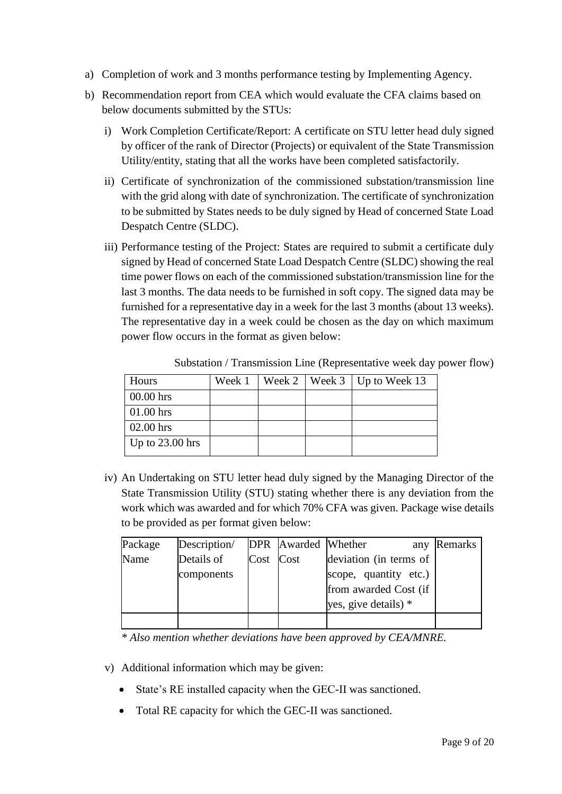- a) Completion of work and 3 months performance testing by Implementing Agency.
- b) Recommendation report from CEA which would evaluate the CFA claims based on below documents submitted by the STUs:
	- i) Work Completion Certificate/Report: A certificate on STU letter head duly signed by officer of the rank of Director (Projects) or equivalent of the State Transmission Utility/entity, stating that all the works have been completed satisfactorily.
	- ii) Certificate of synchronization of the commissioned substation/transmission line with the grid along with date of synchronization. The certificate of synchronization to be submitted by States needs to be duly signed by Head of concerned State Load Despatch Centre (SLDC).
	- iii) Performance testing of the Project: States are required to submit a certificate duly signed by Head of concerned State Load Despatch Centre (SLDC) showing the real time power flows on each of the commissioned substation/transmission line for the last 3 months. The data needs to be furnished in soft copy. The signed data may be furnished for a representative day in a week for the last 3 months (about 13 weeks). The representative day in a week could be chosen as the day on which maximum power flow occurs in the format as given below:

| Hours             | Week 1 | Week 2 | Week $3 \mid$ Up to Week 13 |
|-------------------|--------|--------|-----------------------------|
| $00.00$ hrs       |        |        |                             |
| $01.00$ hrs       |        |        |                             |
| $02.00$ hrs       |        |        |                             |
| Up to $23.00$ hrs |        |        |                             |

Substation / Transmission Line (Representative week day power flow)

iv) An Undertaking on STU letter head duly signed by the Managing Director of the State Transmission Utility (STU) stating whether there is any deviation from the work which was awarded and for which 70% CFA was given. Package wise details to be provided as per format given below:

| Package | Description/ |      | <b>DPR</b> Awarded Whether |                        | any | Remarks |
|---------|--------------|------|----------------------------|------------------------|-----|---------|
| Name    | Details of   | Cost | Cost                       | deviation (in terms of |     |         |
|         | components   |      |                            | scope, quantity etc.)  |     |         |
|         |              |      |                            | from awarded Cost (if  |     |         |
|         |              |      |                            | yes, give details) *   |     |         |
|         |              |      |                            |                        |     |         |

*\* Also mention whether deviations have been approved by CEA/MNRE.*

- v) Additional information which may be given:
	- State's RE installed capacity when the GEC-II was sanctioned.
	- Total RE capacity for which the GEC-II was sanctioned.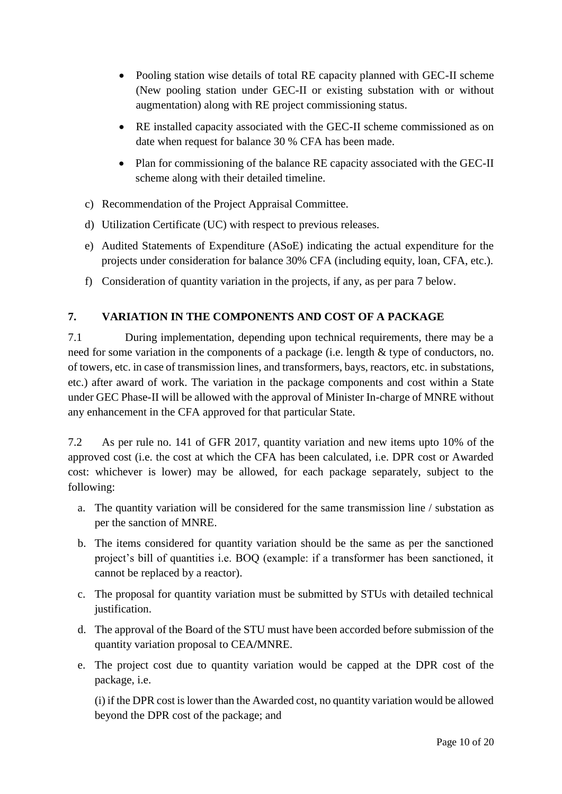- Pooling station wise details of total RE capacity planned with GEC-II scheme (New pooling station under GEC-II or existing substation with or without augmentation) along with RE project commissioning status.
- RE installed capacity associated with the GEC-II scheme commissioned as on date when request for balance 30 % CFA has been made.
- Plan for commissioning of the balance RE capacity associated with the GEC-II scheme along with their detailed timeline.
- c) Recommendation of the Project Appraisal Committee.
- d) Utilization Certificate (UC) with respect to previous releases.
- e) Audited Statements of Expenditure (ASoE) indicating the actual expenditure for the projects under consideration for balance 30% CFA (including equity, loan, CFA, etc.).
- f) Consideration of quantity variation in the projects, if any, as per para 7 below.

## **7. VARIATION IN THE COMPONENTS AND COST OF A PACKAGE**

7.1 During implementation, depending upon technical requirements, there may be a need for some variation in the components of a package (i.e. length & type of conductors, no. of towers, etc. in case of transmission lines, and transformers, bays, reactors, etc. in substations, etc.) after award of work. The variation in the package components and cost within a State under GEC Phase-II will be allowed with the approval of Minister In-charge of MNRE without any enhancement in the CFA approved for that particular State.

7.2 As per rule no. 141 of GFR 2017, quantity variation and new items upto 10% of the approved cost (i.e. the cost at which the CFA has been calculated, i.e. DPR cost or Awarded cost: whichever is lower) may be allowed, for each package separately, subject to the following:

- a. The quantity variation will be considered for the same transmission line / substation as per the sanction of MNRE.
- b. The items considered for quantity variation should be the same as per the sanctioned project's bill of quantities i.e. BOQ (example: if a transformer has been sanctioned, it cannot be replaced by a reactor).
- c. The proposal for quantity variation must be submitted by STUs with detailed technical justification.
- d. The approval of the Board of the STU must have been accorded before submission of the quantity variation proposal to CEA**/**MNRE.
- e. The project cost due to quantity variation would be capped at the DPR cost of the package, i.e.

(i) if the DPR cost is lower than the Awarded cost, no quantity variation would be allowed beyond the DPR cost of the package; and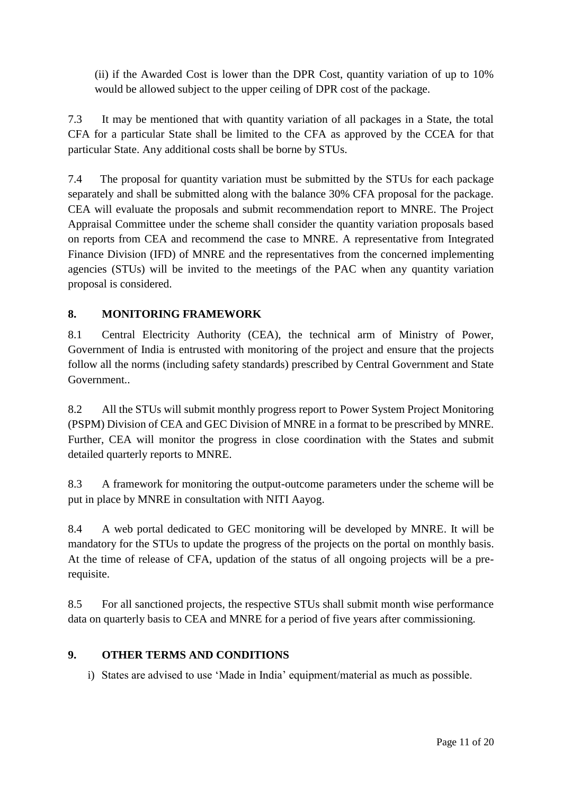(ii) if the Awarded Cost is lower than the DPR Cost, quantity variation of up to 10% would be allowed subject to the upper ceiling of DPR cost of the package.

7.3 It may be mentioned that with quantity variation of all packages in a State, the total CFA for a particular State shall be limited to the CFA as approved by the CCEA for that particular State. Any additional costs shall be borne by STUs.

7.4 The proposal for quantity variation must be submitted by the STUs for each package separately and shall be submitted along with the balance 30% CFA proposal for the package. CEA will evaluate the proposals and submit recommendation report to MNRE. The Project Appraisal Committee under the scheme shall consider the quantity variation proposals based on reports from CEA and recommend the case to MNRE. A representative from Integrated Finance Division (IFD) of MNRE and the representatives from the concerned implementing agencies (STUs) will be invited to the meetings of the PAC when any quantity variation proposal is considered.

## **8. MONITORING FRAMEWORK**

8.1 Central Electricity Authority (CEA), the technical arm of Ministry of Power, Government of India is entrusted with monitoring of the project and ensure that the projects follow all the norms (including safety standards) prescribed by Central Government and State Government..

8.2 All the STUs will submit monthly progress report to Power System Project Monitoring (PSPM) Division of CEA and GEC Division of MNRE in a format to be prescribed by MNRE. Further, CEA will monitor the progress in close coordination with the States and submit detailed quarterly reports to MNRE.

8.3 A framework for monitoring the output-outcome parameters under the scheme will be put in place by MNRE in consultation with NITI Aayog.

8.4 A web portal dedicated to GEC monitoring will be developed by MNRE. It will be mandatory for the STUs to update the progress of the projects on the portal on monthly basis. At the time of release of CFA, updation of the status of all ongoing projects will be a prerequisite.

8.5 For all sanctioned projects, the respective STUs shall submit month wise performance data on quarterly basis to CEA and MNRE for a period of five years after commissioning.

### **9. OTHER TERMS AND CONDITIONS**

i) States are advised to use 'Made in India' equipment/material as much as possible.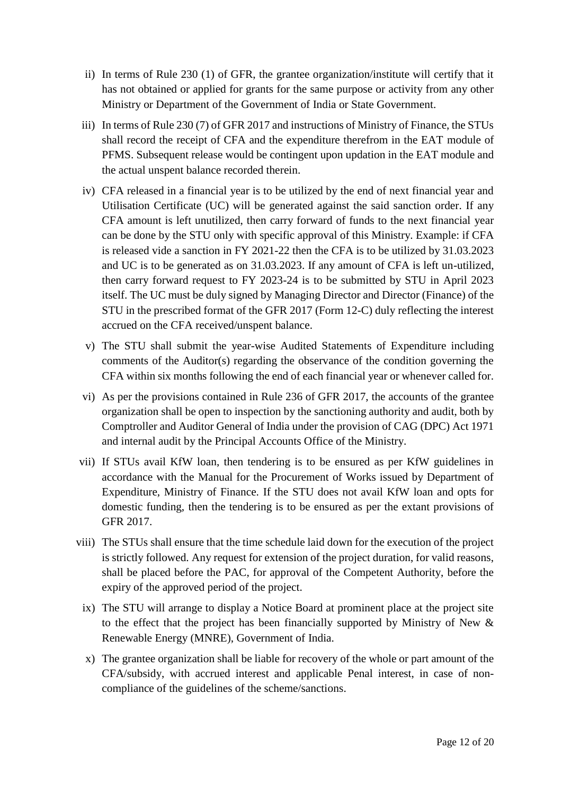- ii) In terms of Rule 230 (1) of GFR, the grantee organization/institute will certify that it has not obtained or applied for grants for the same purpose or activity from any other Ministry or Department of the Government of India or State Government.
- iii) In terms of Rule 230 (7) of GFR 2017 and instructions of Ministry of Finance, the STUs shall record the receipt of CFA and the expenditure therefrom in the EAT module of PFMS. Subsequent release would be contingent upon updation in the EAT module and the actual unspent balance recorded therein.
- iv) CFA released in a financial year is to be utilized by the end of next financial year and Utilisation Certificate (UC) will be generated against the said sanction order. If any CFA amount is left unutilized, then carry forward of funds to the next financial year can be done by the STU only with specific approval of this Ministry. Example: if CFA is released vide a sanction in FY 2021-22 then the CFA is to be utilized by 31.03.2023 and UC is to be generated as on 31.03.2023. If any amount of CFA is left un-utilized, then carry forward request to FY 2023-24 is to be submitted by STU in April 2023 itself. The UC must be duly signed by Managing Director and Director (Finance) of the STU in the prescribed format of the GFR 2017 (Form 12-C) duly reflecting the interest accrued on the CFA received/unspent balance.
- v) The STU shall submit the year-wise Audited Statements of Expenditure including comments of the Auditor(s) regarding the observance of the condition governing the CFA within six months following the end of each financial year or whenever called for.
- vi) As per the provisions contained in Rule 236 of GFR 2017, the accounts of the grantee organization shall be open to inspection by the sanctioning authority and audit, both by Comptroller and Auditor General of India under the provision of CAG (DPC) Act 1971 and internal audit by the Principal Accounts Office of the Ministry.
- vii) If STUs avail KfW loan, then tendering is to be ensured as per KfW guidelines in accordance with the Manual for the Procurement of Works issued by Department of Expenditure, Ministry of Finance. If the STU does not avail KfW loan and opts for domestic funding, then the tendering is to be ensured as per the extant provisions of GFR 2017.
- viii) The STUs shall ensure that the time schedule laid down for the execution of the project is strictly followed. Any request for extension of the project duration, for valid reasons, shall be placed before the PAC, for approval of the Competent Authority, before the expiry of the approved period of the project.
	- ix) The STU will arrange to display a Notice Board at prominent place at the project site to the effect that the project has been financially supported by Ministry of New & Renewable Energy (MNRE), Government of India.
	- x) The grantee organization shall be liable for recovery of the whole or part amount of the CFA/subsidy, with accrued interest and applicable Penal interest, in case of noncompliance of the guidelines of the scheme/sanctions.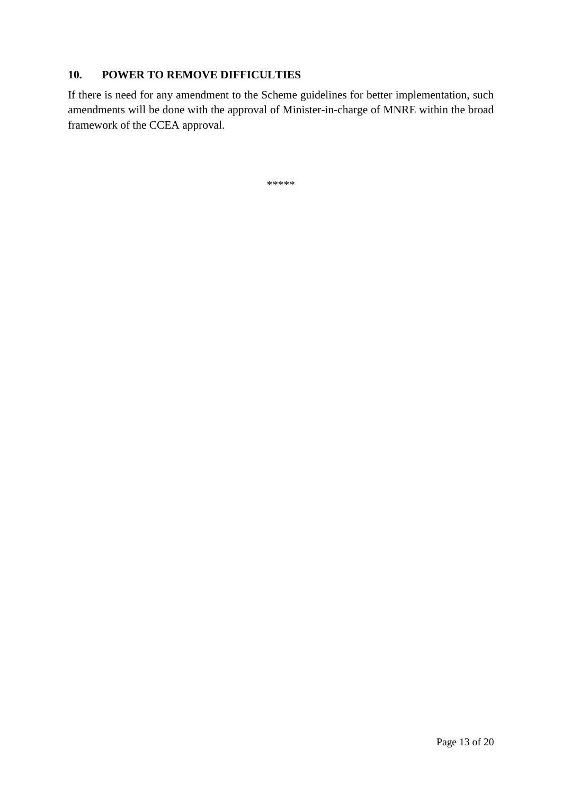#### **10. POWER TO REMOVE DIFFICULTIES**

If there is need for any amendment to the Scheme guidelines for better implementation, such amendments will be done with the approval of Minister-in-charge of MNRE within the broad framework of the CCEA approval.

\*\*\*\*\*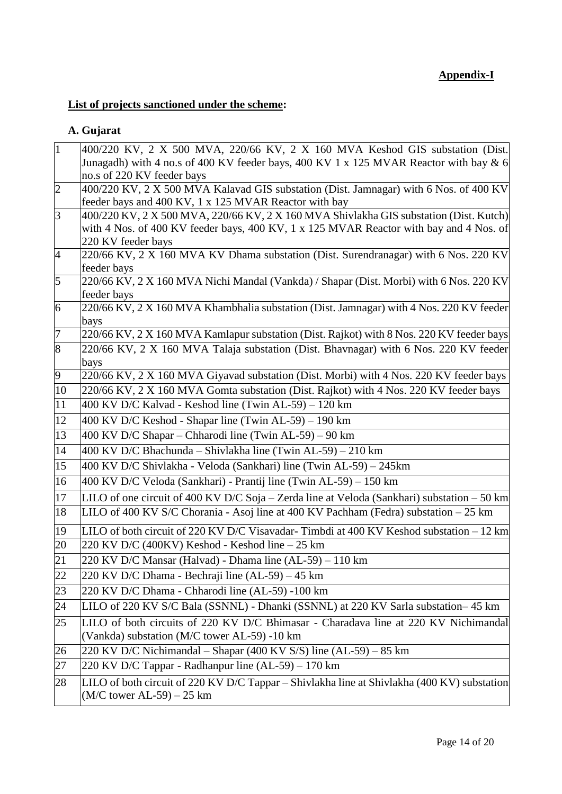# **Appendix-I**

# **List of projects sanctioned under the scheme:**

# **A. Gujarat**

| $\vert$ 1      | 400/220 KV, 2 X 500 MVA, 220/66 KV, 2 X 160 MVA Keshod GIS substation (Dist.                       |
|----------------|----------------------------------------------------------------------------------------------------|
|                | Junagadh) with 4 no.s of 400 KV feeder bays, 400 KV 1 x 125 MVAR Reactor with bay & 6              |
|                | no.s of 220 KV feeder bays                                                                         |
| $\overline{2}$ | 400/220 KV, 2 X 500 MVA Kalavad GIS substation (Dist. Jamnagar) with 6 Nos. of 400 KV              |
|                | feeder bays and 400 KV, 1 x 125 MVAR Reactor with bay                                              |
| $\overline{3}$ | 400/220 KV, 2 X 500 MVA, 220/66 KV, 2 X 160 MVA Shivlakha GIS substation (Dist. Kutch)             |
|                | with 4 Nos. of 400 KV feeder bays, 400 KV, 1 x 125 MVAR Reactor with bay and 4 Nos. of             |
|                | 220 KV feeder bays                                                                                 |
| $\overline{A}$ | 220/66 KV, 2 X 160 MVA KV Dhama substation (Dist. Surendranagar) with 6 Nos. 220 KV<br>feeder bays |
| $\overline{5}$ | 220/66 KV, 2 X 160 MVA Nichi Mandal (Vankda) / Shapar (Dist. Morbi) with 6 Nos. 220 KV             |
|                | feeder bays                                                                                        |
| 6              | 220/66 KV, 2 X 160 MVA Khambhalia substation (Dist. Jamnagar) with 4 Nos. 220 KV feeder            |
|                | bays                                                                                               |
| 7              | 220/66 KV, 2 X 160 MVA Kamlapur substation (Dist. Rajkot) with 8 Nos. 220 KV feeder bays           |
| 8              | 220/66 KV, 2 X 160 MVA Talaja substation (Dist. Bhavnagar) with 6 Nos. 220 KV feeder               |
|                | bays                                                                                               |
| 9              | 220/66 KV, 2 X 160 MVA Giyavad substation (Dist. Morbi) with 4 Nos. 220 KV feeder bays             |
| 10             | 220/66 KV, 2 X 160 MVA Gomta substation (Dist. Rajkot) with 4 Nos. 220 KV feeder bays              |
| 11             | 400 KV D/C Kalvad - Keshod line (Twin AL-59) – 120 km                                              |
| 12             | 400 KV D/C Keshod - Shapar line (Twin AL-59) – 190 km                                              |
| 13             | 400 KV D/C Shapar – Chharodi line (Twin AL-59) – 90 km                                             |
| 14             | 400 KV D/C Bhachunda – Shivlakha line (Twin AL-59) – 210 km                                        |
| 15             | 400 KV D/C Shivlakha - Veloda (Sankhari) line (Twin AL-59) - 245km                                 |
| 16             | 400 KV D/C Veloda (Sankhari) - Prantij line (Twin AL-59) - 150 km                                  |
| 17             | LILO of one circuit of 400 KV D/C Soja – Zerda line at Veloda (Sankhari) substation – 50 km        |
| 18             | LILO of 400 KV S/C Chorania - Asoj line at 400 KV Pachham (Fedra) substation – 25 km               |
| 19             | LILO of both circuit of 220 KV D/C Visavadar-Timbdi at 400 KV Keshod substation - 12 km            |
| 20             | 220 KV D/C (400KV) Keshod - Keshod line – 25 km                                                    |
| 21             | 220 KV D/C Mansar (Halvad) - Dhama line (AL-59) - 110 km                                           |
| 22             | 220 KV D/C Dhama - Bechraji line (AL-59) – 45 km                                                   |
| 23             | 220 KV D/C Dhama - Chharodi line (AL-59) -100 km                                                   |
| 24             | LILO of 220 KV S/C Bala (SSNNL) - Dhanki (SSNNL) at 220 KV Sarla substation-45 km                  |
| 25             | LILO of both circuits of 220 KV D/C Bhimasar - Charadava line at 220 KV Nichimandal                |
|                | (Vankda) substation (M/C tower AL-59) -10 km                                                       |
| 26             | 220 KV D/C Nichimandal - Shapar (400 KV S/S) line (AL-59) - 85 km                                  |
| 27             | 220 KV D/C Tappar - Radhanpur line (AL-59) – 170 km                                                |
| 28             | LILO of both circuit of 220 KV D/C Tappar – Shivlakha line at Shivlakha (400 KV) substation        |
|                | $(M/C$ tower AL-59) – 25 km                                                                        |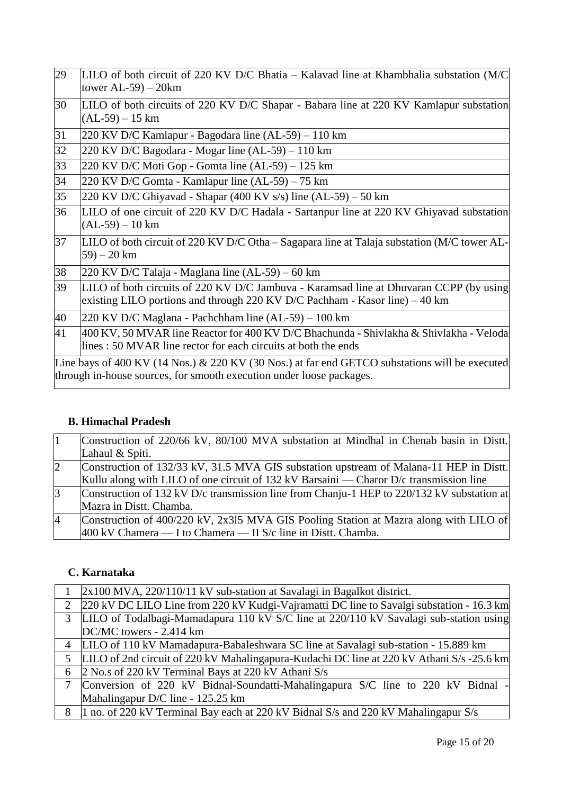| 29 | LILO of both circuit of 220 KV D/C Bhatia – Kalavad line at Khambhalia substation (M/C<br>tower $AL-59$ ) – 20 $km$                                                    |
|----|------------------------------------------------------------------------------------------------------------------------------------------------------------------------|
| 30 | LILO of both circuits of 220 KV D/C Shapar - Babara line at 220 KV Kamlapur substation<br>$(AL-59) - 15$ km                                                            |
| 31 | 220 KV D/C Kamlapur - Bagodara line (AL-59) – 110 km                                                                                                                   |
| 32 | 220 KV D/C Bagodara - Mogar line (AL-59) – 110 km                                                                                                                      |
| 33 | 220 KV D/C Moti Gop - Gomta line (AL-59) – 125 km                                                                                                                      |
| 34 | 220 KV D/C Gomta - Kamlapur line (AL-59) – 75 km                                                                                                                       |
| 35 | 220 KV D/C Ghiyavad - Shapar (400 KV s/s) line (AL-59) – 50 km                                                                                                         |
| 36 | LILO of one circuit of 220 KV D/C Hadala - Sartanpur line at 220 KV Ghiyavad substation<br>$(AL-59) - 10$ km                                                           |
| 37 | LILO of both circuit of 220 KV D/C Otha – Sagapara line at Talaja substation (M/C tower AL-<br>$(59) - 20 \text{ km}$                                                  |
| 38 | 220 KV D/C Talaja - Maglana line (AL-59) – 60 km                                                                                                                       |
| 39 | LILO of both circuits of 220 KV D/C Jambuva - Karamsad line at Dhuvaran CCPP (by using<br>existing LILO portions and through 220 KV D/C Pachham - Kasor line) – 40 km  |
| 40 | 220 KV D/C Maglana - Pachchham line (AL-59) – 100 km                                                                                                                   |
| 41 | 400 KV, 50 MVAR line Reactor for 400 KV D/C Bhachunda - Shivlakha & Shivlakha - Veloda<br>lines: 50 MVAR line rector for each circuits at both the ends                |
|    | Line bays of 400 KV (14 Nos.) & 220 KV (30 Nos.) at far end GETCO substations will be executed<br>through in-house sources, for smooth execution under loose packages. |

# **B. Himachal Pradesh**

|                | Construction of 220/66 kV, 80/100 MVA substation at Mindhal in Chenab basin in Distt.      |
|----------------|--------------------------------------------------------------------------------------------|
|                | Lahaul & Spiti.                                                                            |
| $\overline{2}$ | Construction of 132/33 kV, 31.5 MVA GIS substation upstream of Malana-11 HEP in Distt.     |
|                | Kullu along with LILO of one circuit of 132 kV Barsaini — Charor $D/c$ transmission line   |
| 3              | Construction of 132 kV D/c transmission line from Chanju-1 HEP to 220/132 kV substation at |
|                | Mazra in Distt. Chamba.                                                                    |
| $\overline{4}$ | Construction of 400/220 kV, 2x315 MVA GIS Pooling Station at Mazra along with LILO of      |
|                | $ 400 \text{ kV}$ Chamera — I to Chamera — II S/c line in Distt. Chamba.                   |

# **C. Karnataka**

|   | $2x100$ MVA, $220/110/11$ kV sub-station at Savalagi in Bagalkot district.                 |
|---|--------------------------------------------------------------------------------------------|
| 2 | [220 kV DC LILO Line from 220 kV Kudgi-Vajramatti DC line to Savalgi substation - 16.3 km] |
| 3 | LILO of Todalbagi-Mamadapura 110 kV S/C line at 220/110 kV Savalagi sub-station using      |
|   | DC/MC towers - 2.414 km                                                                    |
|   | 4   LILO of 110 kV Mamadapura-Babaleshwara SC line at Savalagi sub-station - 15.889 km     |
| 5 | LILO of 2nd circuit of 220 kV Mahalingapura-Kudachi DC line at 220 kV Athani S/s -25.6 km  |
| 6 | 2 No.s of 220 kV Terminal Bays at 220 kV Athani S/s                                        |
| 7 | Conversion of 220 kV Bidnal-Soundatti-Mahalingapura S/C line to 220 kV Bidnal -            |
|   | Mahalingapur D/C line - 125.25 km                                                          |
| 8 | 1 no. of 220 kV Terminal Bay each at 220 kV Bidnal S/s and 220 kV Mahalingapur S/s         |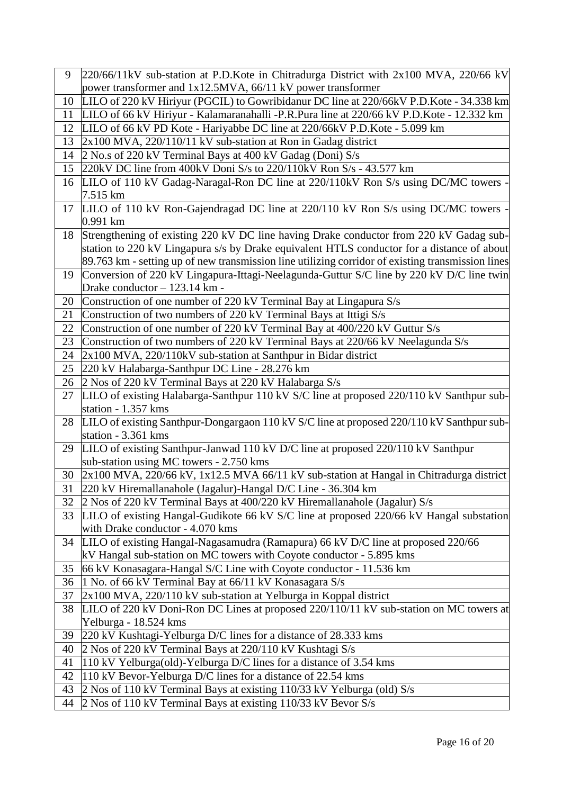| 9  | 220/66/11kV sub-station at P.D.Kote in Chitradurga District with 2x100 MVA, 220/66 kV                           |
|----|-----------------------------------------------------------------------------------------------------------------|
|    | power transformer and 1x12.5MVA, 66/11 kV power transformer                                                     |
| 10 | LILO of 220 kV Hiriyur (PGCIL) to Gowribidanur DC line at 220/66kV P.D.Kote - 34.338 km                         |
| 11 | LILO of 66 kV Hiriyur - Kalamaranahalli -P.R.Pura line at 220/66 kV P.D.Kote - 12.332 km                        |
| 12 | LILO of 66 kV PD Kote - Hariyabbe DC line at 220/66kV P.D.Kote - 5.099 km                                       |
| 13 | $2x100$ MVA, $220/110/11$ kV sub-station at Ron in Gadag district                                               |
| 14 | 2 No.s of 220 kV Terminal Bays at 400 kV Gadag (Doni) S/s                                                       |
| 15 | 220kV DC line from 400kV Doni S/s to 220/110kV Ron S/s - 43.577 km                                              |
| 16 | LILO of 110 kV Gadag-Naragal-Ron DC line at 220/110kV Ron S/s using DC/MC towers -<br>7.515 km                  |
| 17 | LILO of 110 kV Ron-Gajendragad DC line at 220/110 kV Ron S/s using DC/MC towers -<br>0.991 km                   |
| 18 | Strengthening of existing 220 kV DC line having Drake conductor from 220 kV Gadag sub-                          |
|    | station to 220 kV Lingapura s/s by Drake equivalent HTLS conductor for a distance of about                      |
|    | 89.763 km - setting up of new transmission line utilizing corridor of existing transmission lines               |
| 19 | Conversion of 220 kV Lingapura-Ittagi-Neelagunda-Guttur S/C line by 220 kV D/C line twin                        |
|    | Drake conductor - 123.14 km -                                                                                   |
| 20 | Construction of one number of 220 kV Terminal Bay at Lingapura S/s                                              |
| 21 | Construction of two numbers of 220 kV Terminal Bays at Ittigi S/s                                               |
| 22 | Construction of one number of 220 kV Terminal Bay at 400/220 kV Guttur S/s                                      |
| 23 | Construction of two numbers of 220 kV Terminal Bays at 220/66 kV Neelagunda S/s                                 |
| 24 | $2x100$ MVA, $220/110$ kV sub-station at Santhpur in Bidar district                                             |
| 25 | 220 kV Halabarga-Santhpur DC Line - 28.276 km                                                                   |
| 26 | 2 Nos of 220 kV Terminal Bays at 220 kV Halabarga S/s                                                           |
| 27 | LILO of existing Halabarga-Santhpur 110 kV S/C line at proposed 220/110 kV Santhpur sub-<br>station - 1.357 kms |
| 28 | LILO of existing Santhpur-Dongargaon 110 kV S/C line at proposed 220/110 kV Santhpur sub-                       |
|    | station - 3.361 kms                                                                                             |
| 29 | LILO of existing Santhpur-Janwad 110 kV D/C line at proposed 220/110 kV Santhpur                                |
|    | sub-station using MC towers - 2.750 kms                                                                         |
| 30 | 2x100 MVA, 220/66 kV, 1x12.5 MVA 66/11 kV sub-station at Hangal in Chitradurga district                         |
| 31 | 220 kV Hiremallanahole (Jagalur)-Hangal D/C Line - 36.304 km                                                    |
| 32 | 2 Nos of 220 kV Terminal Bays at 400/220 kV Hiremallanahole (Jagalur) S/s                                       |
| 33 | LILO of existing Hangal-Gudikote 66 kV S/C line at proposed 220/66 kV Hangal substation                         |
|    | with Drake conductor - 4.070 kms                                                                                |
| 34 | LILO of existing Hangal-Nagasamudra (Ramapura) 66 kV D/C line at proposed 220/66                                |
|    | kV Hangal sub-station on MC towers with Coyote conductor - 5.895 kms                                            |
| 35 | 66 kV Konasagara-Hangal S/C Line with Coyote conductor - 11.536 km                                              |
| 36 | 1 No. of 66 kV Terminal Bay at 66/11 kV Konasagara S/s                                                          |
| 37 | $2x100$ MVA, $220/110$ kV sub-station at Yelburga in Koppal district                                            |
| 38 | LILO of 220 kV Doni-Ron DC Lines at proposed 220/110/11 kV sub-station on MC towers at                          |
|    | Yelburga - 18.524 kms                                                                                           |
| 39 | 220 kV Kushtagi-Yelburga D/C lines for a distance of 28.333 kms                                                 |
| 40 | 2 Nos of 220 kV Terminal Bays at 220/110 kV Kushtagi S/s                                                        |
| 41 | 110 kV Yelburga(old)-Yelburga D/C lines for a distance of 3.54 kms                                              |
| 42 | 110 kV Bevor-Yelburga D/C lines for a distance of 22.54 kms                                                     |
| 43 | 2 Nos of 110 kV Terminal Bays at existing 110/33 kV Yelburga (old) S/s                                          |
| 44 | 2 Nos of 110 kV Terminal Bays at existing 110/33 kV Bevor S/s                                                   |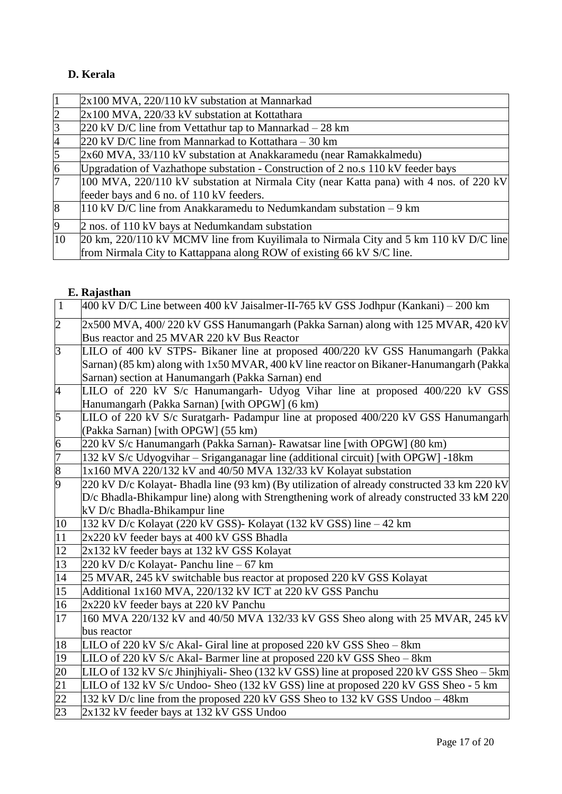# **D. Kerala**

| 11              | $2x100$ MVA, $220/110$ kV substation at Mannarkad                                      |
|-----------------|----------------------------------------------------------------------------------------|
| $\frac{2}{3}$   | $2x100$ MVA, 220/33 kV substation at Kottathara                                        |
|                 | $220 \text{ kV}$ D/C line from Vettathur tap to Mannarkad $-28 \text{ km}$             |
| $\overline{A}$  | 220 kV D/C line from Mannarkad to Kottathara – 30 km                                   |
| $\overline{5}$  | $2x60$ MVA, $33/110$ kV substation at Anakkaramedu (near Ramakkalmedu)                 |
| $\overline{6}$  | Upgradation of Vazhathope substation - Construction of 2 no.s 110 kV feeder bays       |
| $\overline{7}$  | 100 MVA, 220/110 kV substation at Nirmala City (near Katta pana) with 4 nos. of 220 kV |
|                 | feeder bays and 6 no. of 110 kV feeders.                                               |
| $\overline{8}$  | $110$ kV D/C line from Anakkaramedu to Nedumkandam substation $-9$ km                  |
| $\overline{9}$  | 2 nos. of 110 kV bays at Nedumkandam substation                                        |
| 10 <sup>°</sup> | 20 km, 220/110 kV MCMV line from Kuyilimala to Nirmala City and 5 km 110 kV D/C line   |
|                 | from Nirmala City to Kattappana along ROW of existing 66 kV S/C line.                  |

### **E. Rajasthan**

| $\overline{1}$  | 400 kV D/C Line between 400 kV Jaisalmer-II-765 kV GSS Jodhpur (Kankani) – 200 km          |
|-----------------|--------------------------------------------------------------------------------------------|
| $\overline{2}$  | 2x500 MVA, 400/220 kV GSS Hanumangarh (Pakka Sarnan) along with 125 MVAR, 420 kV           |
|                 | Bus reactor and 25 MVAR 220 kV Bus Reactor                                                 |
| $\overline{3}$  | LILO of 400 kV STPS- Bikaner line at proposed 400/220 kV GSS Hanumangarh (Pakka            |
|                 | Sarnan) (85 km) along with 1x50 MVAR, 400 kV line reactor on Bikaner-Hanumangarh (Pakka    |
|                 | Sarnan) section at Hanumangarh (Pakka Sarnan) end                                          |
| $\overline{4}$  | LILO of 220 kV S/c Hanumangarh- Udyog Vihar line at proposed 400/220 kV GSS                |
|                 | Hanumangarh (Pakka Sarnan) [with OPGW] (6 km)                                              |
| $\overline{5}$  | LILO of 220 kV S/c Suratgarh- Padampur line at proposed 400/220 kV GSS Hanumangarh         |
|                 | (Pakka Sarnan) [with OPGW] (55 km)                                                         |
| 6               | 220 kV S/c Hanumangarh (Pakka Sarnan) - Rawatsar line [with OPGW] (80 km)                  |
| $\overline{7}$  | 132 kV S/c Udyogvihar – Sriganganagar line (additional circuit) [with OPGW] -18km          |
| $\overline{8}$  | 1x160 MVA 220/132 kV and 40/50 MVA 132/33 kV Kolayat substation                            |
| $\overline{9}$  | 220 kV D/c Kolayat-Bhadla line (93 km) (By utilization of already constructed 33 km 220 kV |
|                 | D/c Bhadla-Bhikampur line) along with Strengthening work of already constructed 33 kM 220  |
|                 | kV D/c Bhadla-Bhikampur line                                                               |
| 10              | 132 kV D/c Kolayat (220 kV GSS)- Kolayat (132 kV GSS) line - 42 km                         |
| 11              | 2x220 kV feeder bays at 400 kV GSS Bhadla                                                  |
| 12              | 2x132 kV feeder bays at 132 kV GSS Kolayat                                                 |
| 13              | 220 kV D/c Kolayat- Panchu line – 67 km                                                    |
| 14              | 25 MVAR, 245 kV switchable bus reactor at proposed 220 kV GSS Kolayat                      |
| $\overline{15}$ | Additional 1x160 MVA, 220/132 kV ICT at 220 kV GSS Panchu                                  |
| 16              | 2x220 kV feeder bays at 220 kV Panchu                                                      |
| 17              | 160 MVA 220/132 kV and 40/50 MVA 132/33 kV GSS Sheo along with 25 MVAR, 245 kV             |
|                 | bus reactor                                                                                |
| 18              | LILO of 220 kV S/c Akal- Giral line at proposed 220 kV GSS Sheo - 8km                      |
| 19              | LILO of 220 kV S/c Akal-Barmer line at proposed 220 kV GSS Sheo – 8km                      |
| 20              | LILO of 132 kV S/c Jhinjhiyali- Sheo (132 kV GSS) line at proposed 220 kV GSS Sheo $-5km$  |
| 21              | LILO of 132 kV S/c Undoo- Sheo (132 kV GSS) line at proposed 220 kV GSS Sheo - 5 km        |
| 22              | 132 kV D/c line from the proposed 220 kV GSS Sheo to 132 kV GSS Undoo - 48km               |
| 23              | 2x132 kV feeder bays at 132 kV GSS Undoo                                                   |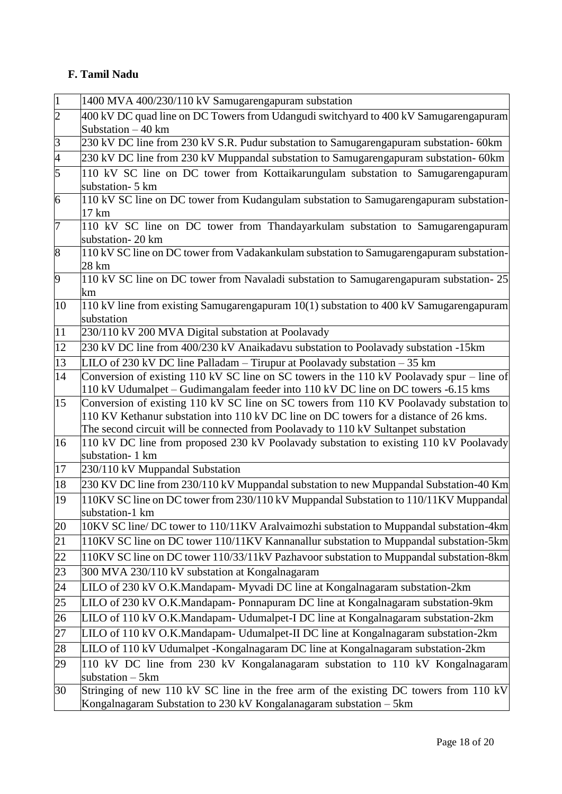# **F. Tamil Nadu**

| $\overline{1}$ | 1400 MVA 400/230/110 kV Samugarengapuram substation                                                                                                                                                                                                                   |
|----------------|-----------------------------------------------------------------------------------------------------------------------------------------------------------------------------------------------------------------------------------------------------------------------|
| $\overline{2}$ | 400 kV DC quad line on DC Towers from Udangudi switchyard to 400 kV Samugarengapuram                                                                                                                                                                                  |
|                | Substation - 40 km                                                                                                                                                                                                                                                    |
| $\overline{3}$ | 230 kV DC line from 230 kV S.R. Pudur substation to Samugarengapuram substation- 60km                                                                                                                                                                                 |
| $\overline{4}$ | 230 kV DC line from 230 kV Muppandal substation to Samugarengapuram substation- 60km                                                                                                                                                                                  |
| $\overline{5}$ | 110 kV SC line on DC tower from Kottaikarungulam substation to Samugarengapuram<br>substation- 5 km                                                                                                                                                                   |
| 6              | 110 kV SC line on DC tower from Kudangulam substation to Samugarengapuram substation-<br>17 km                                                                                                                                                                        |
| 7              | 110 kV SC line on DC tower from Thandayarkulam substation to Samugarengapuram<br>substation-20 km                                                                                                                                                                     |
| 8              | 110 kV SC line on DC tower from Vadakankulam substation to Samugarengapuram substation-                                                                                                                                                                               |
|                | 28 km                                                                                                                                                                                                                                                                 |
| 9              | 110 kV SC line on DC tower from Navaladi substation to Samugarengapuram substation-25<br>km                                                                                                                                                                           |
| 10             | 110 kV line from existing Samugarengapuram 10(1) substation to 400 kV Samugarengapuram<br>substation                                                                                                                                                                  |
| 11             | 230/110 kV 200 MVA Digital substation at Poolavady                                                                                                                                                                                                                    |
| 12             | 230 kV DC line from 400/230 kV Anaikadavu substation to Poolavady substation -15km                                                                                                                                                                                    |
| 13             | LILO of 230 kV DC line Palladam - Tirupur at Poolavady substation $-35$ km                                                                                                                                                                                            |
| 14             | Conversion of existing 110 kV SC line on SC towers in the 110 kV Poolavady spur - line of<br>110 kV Udumalpet - Gudimangalam feeder into 110 kV DC line on DC towers -6.15 kms                                                                                        |
| 15             | Conversion of existing 110 kV SC line on SC towers from 110 KV Poolavady substation to<br>110 KV Kethanur substation into 110 kV DC line on DC towers for a distance of 26 kms.<br>The second circuit will be connected from Poolavady to 110 kV Sultanpet substation |
| 16             | 110 kV DC line from proposed 230 kV Poolavady substation to existing 110 kV Poolavady<br>substation-1 km                                                                                                                                                              |
| 17             | 230/110 kV Muppandal Substation                                                                                                                                                                                                                                       |
| 18             | 230 KV DC line from 230/110 kV Muppandal substation to new Muppandal Substation-40 Km                                                                                                                                                                                 |
| 19             | 110KV SC line on DC tower from 230/110 kV Muppandal Substation to 110/11KV Muppandal<br>substation-1 km                                                                                                                                                               |
| 20             | 10KV SC line/DC tower to 110/11KV Aralvaimozhi substation to Muppandal substation-4km                                                                                                                                                                                 |
| 21             | 110KV SC line on DC tower 110/11KV Kannanallur substation to Muppandal substation-5km                                                                                                                                                                                 |
| 22             | 110KV SC line on DC tower 110/33/11kV Pazhavoor substation to Muppandal substation-8km                                                                                                                                                                                |
| 23             | 300 MVA 230/110 kV substation at Kongalnagaram                                                                                                                                                                                                                        |
| 24             | LILO of 230 kV O.K.Mandapam- Myvadi DC line at Kongalnagaram substation-2km                                                                                                                                                                                           |
| 25             | LILO of 230 kV O.K.Mandapam-Ponnapuram DC line at Kongalnagaram substation-9km                                                                                                                                                                                        |
| 26             | LILO of 110 kV O.K.Mandapam- Udumalpet-I DC line at Kongalnagaram substation-2km                                                                                                                                                                                      |
| 27             | LILO of 110 kV O.K.Mandapam- Udumalpet-II DC line at Kongalnagaram substation-2km                                                                                                                                                                                     |
| 28             | LILO of 110 kV Udumalpet -Kongalnagaram DC line at Kongalnagaram substation-2km                                                                                                                                                                                       |
| 29             | 110 kV DC line from 230 kV Kongalanagaram substation to 110 kV Kongalnagaram                                                                                                                                                                                          |
|                | substation – 5km                                                                                                                                                                                                                                                      |
| 30             | Stringing of new 110 kV SC line in the free arm of the existing DC towers from 110 kV<br>Kongalnagaram Substation to 230 kV Kongalanagaram substation - 5km                                                                                                           |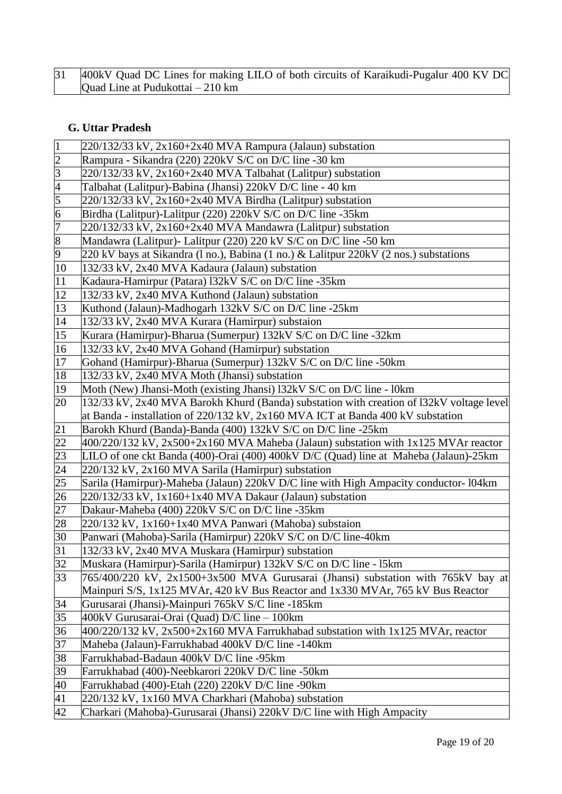| 31 | 400kV Quad DC Lines for making LILO of both circuits of Karaikudi-Pugalur 400 KV DC |
|----|-------------------------------------------------------------------------------------|
|    | Quad Line at Pudukottai $-210 \text{ km}$                                           |

## **G. Uttar Pradesh**

| $\vert$ 1       | $220/132/33$ kV, $2x160+2x40$ MVA Rampura (Jalaun) substation                            |
|-----------------|------------------------------------------------------------------------------------------|
| $\overline{2}$  | Rampura - Sikandra (220) 220kV S/C on D/C line -30 km                                    |
| $\overline{3}$  | 220/132/33 kV, 2x160+2x40 MVA Talbahat (Lalitpur) substation                             |
| $\overline{4}$  | Talbahat (Lalitpur)-Babina (Jhansi) 220kV D/C line - 40 km                               |
| $\overline{5}$  | $220/132/33$ kV, $2x160+2x40$ MVA Birdha (Lalitpur) substation                           |
| $\overline{6}$  | Birdha (Lalitpur)-Lalitpur (220) 220kV S/C on D/C line -35km                             |
| $\overline{7}$  | 220/132/33 kV, 2x160+2x40 MVA Mandawra (Lalitpur) substation                             |
| $\overline{8}$  | Mandawra (Lalitpur)- Lalitpur (220) 220 kV S/C on D/C line -50 km                        |
| $\overline{9}$  | 220 kV bays at Sikandra (1 no.), Babina (1 no.) & Lalitpur 220kV (2 nos.) substations    |
| 10              | 132/33 kV, 2x40 MVA Kadaura (Jalaun) substation                                          |
| 11              | Kadaura-Hamirpur (Patara) 132kV S/C on D/C line -35km                                    |
| 12              | 132/33 kV, 2x40 MVA Kuthond (Jalaun) substation                                          |
| 13              | Kuthond (Jalaun)-Madhogarh 132kV S/C on D/C line -25km                                   |
| 14              | 132/33 kV, 2x40 MVA Kurara (Hamirpur) substaion                                          |
| 15              | Kurara (Hamirpur)-Bharua (Sumerpur) 132kV S/C on D/C line -32km                          |
| 16              | 132/33 kV, 2x40 MVA Gohand (Hamirpur) substation                                         |
| 17              | Gohand (Hamirpur)-Bharua (Sumerpur) 132kV S/C on D/C line -50km                          |
| 18              | 132/33 kV, 2x40 MVA Moth (Jhansi) substation                                             |
| 19              | Moth (New) Jhansi-Moth (existing Jhansi) 132kV S/C on D/C line - 10km                    |
| 20              | 132/33 kV, 2x40 MVA Barokh Khurd (Banda) substation with creation of 132kV voltage level |
|                 | at Banda - installation of 220/132 kV, 2x160 MVA ICT at Banda 400 kV substation          |
| 21              | Barokh Khurd (Banda)-Banda (400) 132kV S/C on D/C line -25km                             |
| 22              | $400/220/132$ kV, $2x500+2x160$ MVA Maheba (Jalaun) substation with $1x125$ MVAr reactor |
| 23              | LILO of one ckt Banda (400)-Orai (400) 400kV D/C (Quad) line at Maheba (Jalaun)-25km     |
| 24              | 220/132 kV, 2x160 MVA Sarila (Hamirpur) substation                                       |
| $\overline{25}$ | Sarila (Hamirpur)-Maheba (Jalaun) 220kV D/C line with High Ampacity conductor-104km      |
| 26              | 220/132/33 kV, 1x160+1x40 MVA Dakaur (Jalaun) substation                                 |
| 27              | Dakaur-Maheba (400) 220kV S/C on D/C line -35km                                          |
| 28              | 220/132 kV, 1x160+1x40 MVA Panwari (Mahoba) substaion                                    |
| 30              | Panwari (Mahoba)-Sarila (Hamirpur) 220kV S/C on D/C line-40km                            |
| 31              | 132/33 kV, 2x40 MVA Muskara (Hamirpur) substation                                        |
| 32              | Muskara (Hamirpur)-Sarila (Hamirpur) 132kV S/C on D/C line - 15km                        |
| $\overline{33}$ | 765/400/220 kV, 2x1500+3x500 MVA Gurusarai (Jhansi) substation with 765kV bay at         |
|                 | Mainpuri S/S, 1x125 MVAr, 420 kV Bus Reactor and 1x330 MVAr, 765 kV Bus Reactor          |
| 34              | Gurusarai (Jhansi)-Mainpuri 765kV S/C line -185km                                        |
| 35              | 400kV Gurusarai-Orai (Quad) D/C line – 100km                                             |
| 36              | 400/220/132 kV, 2x500+2x160 MVA Farrukhabad substation with 1x125 MVAr, reactor          |
| 37              | Maheba (Jalaun)-Farrukhabad 400kV D/C line -140km                                        |
| 38              | Farrukhabad-Badaun 400kV D/C line -95km                                                  |
| 39              | Farrukhabad (400)-Neebkarori 220kV D/C line -50km                                        |
| 40              | Farrukhabad (400)-Etah (220) 220kV D/C line -90km                                        |
| 41              | 220/132 kV, 1x160 MVA Charkhari (Mahoba) substation                                      |
| 42              | Charkari (Mahoba)-Gurusarai (Jhansi) 220kV D/C line with High Ampacity                   |